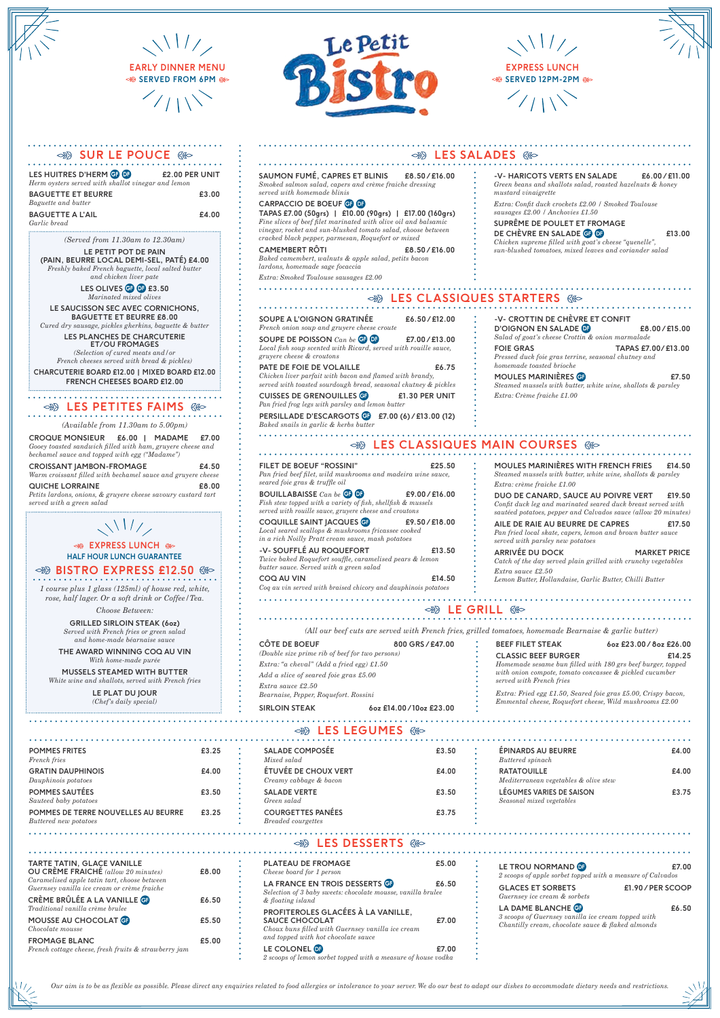| LES HUITRES D'HERM GE OF<br>Herm oysters served with shallot vinegar and lemon | £2.00 PER UNIT |
|--------------------------------------------------------------------------------|----------------|
| <b>BAGUETTE ET BEURRE</b>                                                      | £3.00          |
| Baguette and butter                                                            |                |
| <b>BAGUETTE A L'AIL</b>                                                        | £4.00          |
| Garlic bread                                                                   |                |

*(Available from 11.30am to 5.00pm)*

**CROQUE MONSIEUR £6.00 | MADAME £7.00** *Gooey toasted sandwich filled with ham, gruyere cheese and bechamel sauce and topped with egg ("Madame")*

| <b>CROISSANT JAMBON-FROMAGE</b>                              | £4.50 |
|--------------------------------------------------------------|-------|
| Warm croissant filled with bechamel sauce and gruvere cheese |       |
| <b>QUICHE LORRAINE</b>                                       | £8.00 |
| Detite landana anjona la guiugne abassa sausunu sustand taut |       |

*Petits lardons, onions, & gruyere cheese savoury custard tart served with a green salad* 

# $\sqrt{1117}$

*1 course plus 1 glass (125ml) of house red, white, rose, half lager. Or a soft drink or Coffee/Tea.*

*Choose Between:*

**CUISSES DE GRENOUILLES GF E1.30 PER UNIT** *Pan fried frog legs with parsley and lemon butter*

**GRILLED SIRLOIN STEAK (6oz)** *Served with French fries or green salad and home-made béarnaise sauce*

**THE AWARD WINNING COQ AU VIN** *With home-made purée*

**MUSSELS STEAMED WITH BUTTER** *White wine and shallots, served with French fries*

> **LE PLAT DU JOUR** *(Chef's daily special)*



 $\sqrt{117}$ 

**SOUPE A L'OIGNON GRATINÉE £6.50 / £12.00** *French onion soup and gruyere cheese croute*

**SOUPE DE POISSON** *Can be* GF DF **£7.00 / £13.00** *Local fish soup scented with Ricard, served with rouille sauce, gruyere cheese & croutons*

**PATE DE FOIE DE VOLAILLE £6.75** *Chicken liver parfait with bacon and flamed with brandy, served with toasted sourdough bread, seasonal chutney & pickles*

**PERSILLADE D'ESCARGOTS** GF **£7.00 (6) / £13.00 (12)**  *Baked snails in garlic & herbs butter* 

## $\otimes$  LES CLASSIQUES MAIN COURSES  $\otimes$

**-V- CROTTIN DE CHÈVRE ET CONFIT** 

**D'OIGNON EN SALADE** DF **£8.00 / £15.00**

*Salad of goat's cheese Crottin & onion marmalade* 

**FOIE GRAS TAPAS £7.00/ £13.00**

*Pressed duck foie gras terrine, seasonal chutney and* 

*homemade toasted brioche* 

**MOULES MARINIÈRES** GF **£7.50**  *Steamed mussels with butter, white wine, shallots & parsley*

## **SEPTERS CLASSIQUES STARTERS**

*Extra: Crème fraiche £1.00*

| <b>CÔTE DE BOEUF</b>                            | 800 GRS/£47.00 |
|-------------------------------------------------|----------------|
| (Double size prime rib of beef for two persons) |                |
| Extra: "a cheval" (Add a fried egg) £1.50       |                |
| Add a slice of seared foie gras £5.00           |                |
| Extra sauce £2.50                               |                |
| Bearnaise, Pepper, Roquefort, Rossini           |                |
|                                                 |                |

**SIRLOIN STEAK 6oz £14.00 / 10oz £23.00**

| <b>BEEF FILET STEAK</b>                                                                                                                            | 6oz £23.00 / 8oz £26.00 |
|----------------------------------------------------------------------------------------------------------------------------------------------------|-------------------------|
| <b>CLASSIC BEEF BURGER</b>                                                                                                                         | £14.25                  |
| Homemade sesame bun filled with 180 grs beef burger, topped<br>with onion compote, tomato concassee & pickled cucumber<br>served with French fries |                         |
| Extra: Fried egg £1.50, Seared foie gras £5.00, Crispy bacon,<br>Emmental cheese, Roquefort cheese, Wild mushrooms £2.00                           |                         |

*(All our beef cuts are served with French fries, grilled tomatoes, homemade Bearnaise & garlic butter)*

**POMMES FRITES £3.25** *French fries*

| <b>GRATIN DAUPHINOIS</b>                   | £4.00 |
|--------------------------------------------|-------|
| Dauphinois potatoes                        |       |
| <b>POMMES SAUTÉES</b>                      | £3.50 |
| Sauteed baby potatoes                      |       |
| <b>POMMES DE TERRE NOUVELLES AU BEURRE</b> | £3.25 |
| Buttered new potatoes                      |       |

**SALADE COMPOSÉE £3.50** *Mixed salad*

 $\otimes$ B LES LEGUMES  $\otimes$ 

| <b>ETUVEE DE CHOUX VERT</b><br>Creamy cabbage & bacon | £4.00 |
|-------------------------------------------------------|-------|
| <b>SALADE VERTE</b><br>Green salad                    | £3.50 |
| <b>COURGETTES PANÉES</b><br><b>Breaded</b> courgettes | £3.75 |

**ÉPINARDS AU BEURRE £4.00** *Buttered spinach*

|  | . |  |  |
|--|---|--|--|
|  |   |  |  |
|  |   |  |  |
|  |   |  |  |

| <b>RATATOUILLE</b>                                    | £4.00 |
|-------------------------------------------------------|-------|
| Mediterranean vegetables & olive stew                 |       |
| LÉGUMES VARIES DE SAISON<br>Seasonal mixed vegetables | £3.75 |
|                                                       |       |
|                                                       |       |

#### **LES DESSERTS**  $@$  $\approx$

**SAUMON FUMÉ, CAPRES ET BLINIS £8.50 / £16.00** *Smoked salmon salad, capers and crème fraiche dressing served with homemade blinis* 

### **CARPACCIO DE BOEUF** GF DF

**LES OLIVES <b>GF** 07 £3.50 *Marinated mixed olives*

**TAPAS £7.00 (50grs) | £10.00 (90grs) | £17.00 (160grs)** *Fine slices of beef filet marinated with olive oil and balsamic vinegar, rocket and sun-blushed tomato salad, choose between cracked black pepper, parmesan, Roquefort or mixed*

**CAMEMBERT RÔTI £8.50 / £16.00** *Baked camembert, walnuts & apple salad, petits bacon* 

#### **EXPRESS LUNCH & HALF HOUR LUNCH GUARANTEE**

**BISTRO EXPRESS £12.50 880** 

*lardons, homemade sage focaccia*

*Extra: Smoked Toulouse sausages £2.00*

**-V- HARICOTS VERTS EN SALADE £6.00 / £11.00** *Green beans and shallots salad, roasted hazelnuts & honey mustard vinaigrette*

*Extra: Confit duck crockets £2.00 / Smoked Toulouse sausages £2.00 / Anchovies £1.50*

**SUPRÊME DE POULET ET FROMAGE DE CHÈVRE EN SALADE GF DE CHÈVRE EN SALADE GF DE LE PERSONNE DE LE 2000** *Chicken supreme filled with goat's cheese "quenelle", sun-blushed tomatoes, mixed leaves and coriander salad* 

**FILET DE BOEUF "ROSSINI" £25.50**  *Pan fried beef filet, wild mushrooms and madeira wine sauce, seared foie gras & truffle oil*

**BOUILLABAISSE** *Can be* GF DF **£9.00 / £16.00** *Fish stew topped with a variety of fish, shellfish & mussels served with rouille sauce, gruyere cheese and croutons*

**COQUILLE SAINT JACQUES** GF **£9.50 / £18.00** *Local seared scallops & mushrooms fricassee cooked in a rich Noilly Pratt cream sauce, mash potatoes* 

**-V- SOUFFLÉ AU ROQUEFORT £13.50**  *Twice baked Roquefort souffle, caramelised pears & lemon butter sauce. Served with a green salad*

**COQ AU VIN £14.50** *Coq au vin served with braised chicory and dauphinois potatoes* 

**MOULES MARINIÈRES WITH FRENCH FRIES £14.50** 

### *Steamed mussels with butter, white wine, shallots & parsley Extra: crème fraiche £1.00* **DUO DE CANARD, SAUCE AU POIVRE VERT £19.50**

*Confit duck leg and marinated seared duck breast served with sautéed potatoes, pepper and Calvados sauce (allow 20 minutes)*

**AILE DE RAIE AU BEURRE DE CAPRES £17.50** *Pan fried local skate, capers, lemon and brown butter sauce served with parsley new potatoes* 

**ARRIVÉE DU DOCK MARKET PRICE** *Catch of the day served plain grilled with crunchy vegetables Extra sauce £2.50 Lemon Butter, Hollandaise, Garlic Butter, Chilli Butter*

### **BB LE GRILL 680**

**TARTE TATIN, GLACE VANILLE** 

**OU CRÈME FRAICHÉ** *(allow 20 minutes)* **£8.00**

*Caramelised apple tatin tart, choose between Guernsey vanilla ice cream or crème fraiche* 

**CRÈME BRÛLÉE A LA VANILLE** GF **£6.50**

**MOUSSE AU CHOCOLAT GF E5.50** 

*Traditional vanilla crème brulee*

*Chocolate mousse*

**FROMAGE BLANC £5.00**

*French cottage cheese, fresh fruits & strawberry jam*

| <b>PLATEAU DE FROMAGE</b><br>Cheese board for 1 person                                                                                                  | £5.00 | LE TROU NORMAND <b>DE</b><br>2 scoops of apple sorbet topped with a measure of Calvados                                      | £7.00             |
|---------------------------------------------------------------------------------------------------------------------------------------------------------|-------|------------------------------------------------------------------------------------------------------------------------------|-------------------|
| LA FRANCE EN TROIS DESSERTS G<br>Selection of 3 baby sweets: chocolate mousse, vanilla brulee<br>& floating island                                      | £6.50 | <b>GLACES ET SORBETS</b><br>Guernsey ice cream & sorbets                                                                     | £1.90 / PER SCOOP |
| PROFITEROLES GLACÉES À LA VANILLE,<br><b>SAUCE CHOCOLAT</b><br>Choux buns filled with Guernsey vanilla ice cream<br>and topped with hot chocolate sauce | £7.00 | LA DAME BLANCHE G<br>3 scoops of Guernsey vanilla ice cream topped with<br>Chantilly cream, chocolate sauce & flaked almonds | £6.50             |
| LE COLONEL <sup>OP</sup><br>2 scoops of lemon sorbet topped with a measure of house vodka                                                               | £7.00 |                                                                                                                              |                   |

*(Served from 11.30am to 12.30am)*

**LE PETIT POT DE PAIN (PAIN, BEURRE LOCAL DEMI-SEL, PATÉ) £4.00** *Freshly baked French baguette, local salted butter* 

*and chicken liver pate*

**LE SAUCISSON SEC AVEC CORNICHONS, BAGUETTE ET BEURRE £8.00** 

*Cured dry sausage, pickles gherkins, baguette & butter*  **LES PLANCHES DE CHARCUTERIE** 

**ET/OU FROMAGES** *(Selection of cured meats and/or* 

*French cheeses served with bread & pickles)* **CHARCUTERIE BOARD £12.00 | MIXED BOARD £12.00**

**FRENCH CHEESES BOARD £12.00**

## **BES PETITES FAIMS**

*Our aim is to be as flexible as possible. Please direct any enquiries related to food allergies or intolerance to your server. We do our best to adapt our dishes to accommodate dietary needs and restrictions.*



 $\sqrt{117}$ 

**EARLY DINNER MENU SERVED FROM 6PM**



### **◇89 SUR LE POUCE 68◇**

**EXPRESS LUNCH SERVED 12PM-2PM**

# $\otimes$ B LES SALADES  $\otimes$